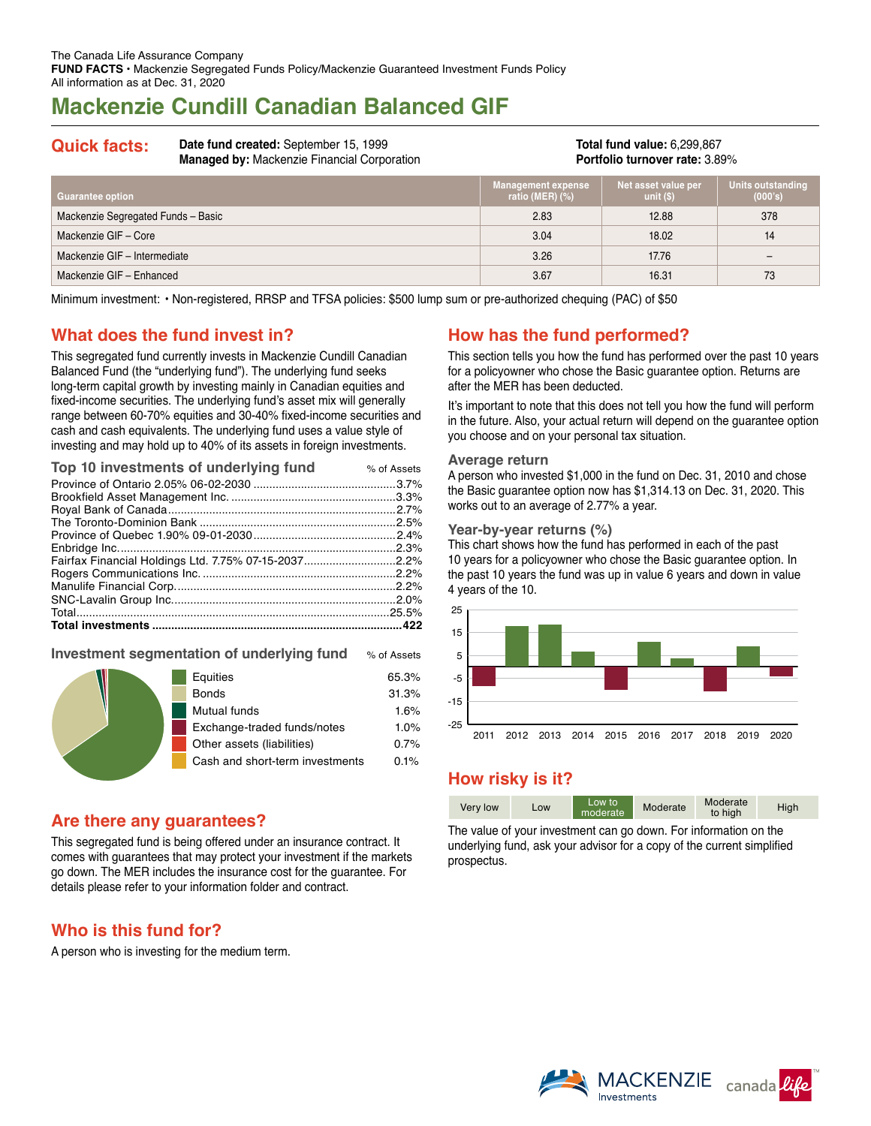# **Mackenzie Cundill Canadian Balanced GIF**

**Quick facts: Date fund created:** September 15, 1999 **Managed by:** Mackenzie Financial Corporation

**Total fund value:** 6,299,867 **Portfolio turnover rate:** 3.89%

| <b>Guarantee option</b>            | <b>Management expense</b><br>ratio (MER) $(\%)$ | Net asset value per<br>unit $(S)$ | Units outstanding<br>(000's) |
|------------------------------------|-------------------------------------------------|-----------------------------------|------------------------------|
| Mackenzie Segregated Funds - Basic | 2.83                                            | 12.88                             | 378                          |
| Mackenzie GIF - Core               | 3.04                                            | 18.02                             | 14                           |
| Mackenzie GIF - Intermediate       | 3.26                                            | 17.76                             |                              |
| Mackenzie GIF - Enhanced           | 3.67                                            | 16.31                             | 73                           |

Minimum investment: • Non-registered, RRSP and TFSA policies: \$500 lump sum or pre-authorized chequing (PAC) of \$50

## **What does the fund invest in?**

This segregated fund currently invests in Mackenzie Cundill Canadian Balanced Fund (the "underlying fund"). The underlying fund seeks long-term capital growth by investing mainly in Canadian equities and fixed-income securities. The underlying fund's asset mix will generally range between 60‑70% equities and 30-40% fixed-income securities and cash and cash equivalents. The underlying fund uses a value style of investing and may hold up to 40% of its assets in foreign investments.

| Top 10 investments of underlying fund                | % of Assets |
|------------------------------------------------------|-------------|
|                                                      |             |
|                                                      |             |
|                                                      |             |
|                                                      |             |
|                                                      |             |
|                                                      |             |
| Fairfax Financial Holdings Ltd. 7.75% 07-15-20372.2% |             |
|                                                      |             |
|                                                      |             |
|                                                      |             |
|                                                      |             |
|                                                      |             |
|                                                      |             |

### **Investment segmentation of underlying fund** % of Assets

|  | Equities                        | 65.3% |
|--|---------------------------------|-------|
|  | <b>Bonds</b>                    | 31.3% |
|  | Mutual funds                    | 1.6%  |
|  | Exchange-traded funds/notes     | 1.0%  |
|  | Other assets (liabilities)      | 0.7%  |
|  | Cash and short-term investments | 0.1%  |
|  |                                 |       |

## **Are there any guarantees?**

This segregated fund is being offered under an insurance contract. It comes with guarantees that may protect your investment if the markets go down. The MER includes the insurance cost for the guarantee. For details please refer to your information folder and contract.

## **Who is this fund for?**

A person who is investing for the medium term.

## **How has the fund performed?**

This section tells you how the fund has performed over the past 10 years for a policyowner who chose the Basic guarantee option. Returns are after the MER has been deducted.

It's important to note that this does not tell you how the fund will perform in the future. Also, your actual return will depend on the guarantee option you choose and on your personal tax situation.

#### **Average return**

A person who invested \$1,000 in the fund on Dec. 31, 2010 and chose the Basic guarantee option now has \$1,314.13 on Dec. 31, 2020. This works out to an average of 2.77% a year.

#### **Year-by-year returns (%)**

This chart shows how the fund has performed in each of the past 10 years for a policyowner who chose the Basic guarantee option. In the past 10 years the fund was up in value 6 years and down in value 4 years of the 10.



## **How risky is it?**

| Very low | Low | Low to<br>moderate | Moderate | Moderate<br>to high | High |
|----------|-----|--------------------|----------|---------------------|------|

The value of your investment can go down. For information on the underlying fund, ask your advisor for a copy of the current simplified prospectus.